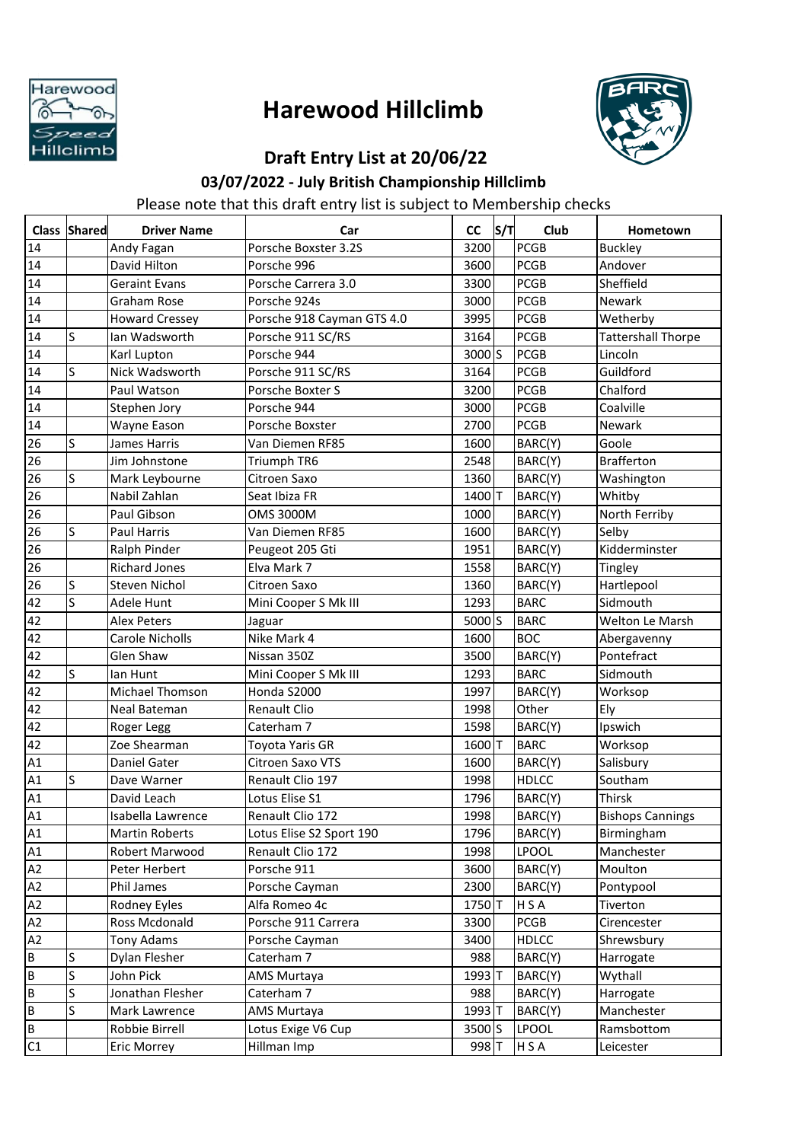

## **Harewood Hillclimb**



## **Draft Entry List at 20/06/22**

## **03/07/2022 - July British Championship Hillclimb**

Please note that this draft entry list is subject to Membership checks

|    | Class Shared | <b>Driver Name</b>     | Car                        | <b>CC</b>        | S/T | Club         | Hometown                  |
|----|--------------|------------------------|----------------------------|------------------|-----|--------------|---------------------------|
| 14 |              | Andy Fagan             | Porsche Boxster 3.2S       | 3200             |     | <b>PCGB</b>  | <b>Buckley</b>            |
| 14 |              | David Hilton           | Porsche 996                | 3600             |     | <b>PCGB</b>  | Andover                   |
| 14 |              | Geraint Evans          | Porsche Carrera 3.0        | 3300             |     | <b>PCGB</b>  | Sheffield                 |
| 14 |              | <b>Graham Rose</b>     | Porsche 924s               | 3000             |     | <b>PCGB</b>  | Newark                    |
| 14 |              | <b>Howard Cressey</b>  | Porsche 918 Cayman GTS 4.0 | 3995             |     | <b>PCGB</b>  | Wetherby                  |
| 14 | S            | Ian Wadsworth          | Porsche 911 SC/RS          | 3164             |     | <b>PCGB</b>  | <b>Tattershall Thorpe</b> |
| 14 |              | Karl Lupton            | Porsche 944                | $3000$ S         |     | <b>PCGB</b>  | Lincoln                   |
| 14 | S            | Nick Wadsworth         | Porsche 911 SC/RS          | 3164             |     | <b>PCGB</b>  | Guildford                 |
| 14 |              | Paul Watson            | Porsche Boxter S           | 3200             |     | <b>PCGB</b>  | Chalford                  |
| 14 |              | Stephen Jory           | Porsche 944                | 3000             |     | <b>PCGB</b>  | Coalville                 |
| 14 |              | Wayne Eason            | Porsche Boxster            | 2700             |     | <b>PCGB</b>  | Newark                    |
| 26 | S            | James Harris           | Van Diemen RF85            | 1600             |     | BARC(Y)      | Goole                     |
| 26 |              | Jim Johnstone          | Triumph TR6                | 2548             |     | BARC(Y)      | <b>Brafferton</b>         |
| 26 | S            | Mark Leybourne         | Citroen Saxo               | 1360             |     | BARC(Y)      | Washington                |
| 26 |              | Nabil Zahlan           | Seat Ibiza FR              | 1400 T           |     | BARC(Y)      | Whitby                    |
| 26 |              | Paul Gibson            | <b>OMS 3000M</b>           | 1000             |     | BARC(Y)      | North Ferriby             |
| 26 | <sub>S</sub> | Paul Harris            | Van Diemen RF85            | 1600             |     | BARC(Y)      | Selby                     |
| 26 |              | Ralph Pinder           | Peugeot 205 Gti            | 1951             |     | BARC(Y)      | Kidderminster             |
| 26 |              | <b>Richard Jones</b>   | Elva Mark 7                | 1558             |     | BARC(Y)      | Tingley                   |
| 26 | S            | <b>Steven Nichol</b>   | Citroen Saxo               | 1360             |     | BARC(Y)      | Hartlepool                |
| 42 | ls           | Adele Hunt             | Mini Cooper S Mk III       | 1293             |     | <b>BARC</b>  | Sidmouth                  |
| 42 |              | <b>Alex Peters</b>     | Jaguar                     | 5000 S           |     | <b>BARC</b>  | Welton Le Marsh           |
| 42 |              | <b>Carole Nicholls</b> | Nike Mark 4                | 1600             |     | <b>BOC</b>   | Abergavenny               |
| 42 |              | Glen Shaw              | Nissan 350Z                | 3500             |     | BARC(Y)      | Pontefract                |
| 42 | S            | lan Hunt               | Mini Cooper S Mk III       | 1293             |     | <b>BARC</b>  | Sidmouth                  |
| 42 |              | <b>Michael Thomson</b> | Honda S2000                | 1997             |     | BARC(Y)      | Worksop                   |
| 42 |              | Neal Bateman           | <b>Renault Clio</b>        | 1998             |     | Other        | Ely                       |
| 42 |              | Roger Legg             | Caterham 7                 | 1598             |     | BARC(Y)      | Ipswich                   |
| 42 |              | Zoe Shearman           | <b>Toyota Yaris GR</b>     | 1600T            |     | <b>BARC</b>  | Worksop                   |
| A1 |              | Daniel Gater           | Citroen Saxo VTS           | 1600             |     | BARC(Y)      | Salisbury                 |
| A1 | S            | Dave Warner            | Renault Clio 197           | 1998             |     | <b>HDLCC</b> | Southam                   |
| A1 |              | David Leach            | Lotus Elise S1             | 1796             |     | BARC(Y)      | Thirsk                    |
| A1 |              | Isabella Lawrence      | Renault Clio 172           | 1998             |     | BARC(Y)      | <b>Bishops Cannings</b>   |
| Α1 |              | <b>Martin Roberts</b>  | Lotus Elise S2 Sport 190   | 1796             |     | BARC(Y)      | Birmingham                |
| A1 |              | Robert Marwood         | Renault Clio 172           | 1998             |     | <b>LPOOL</b> | Manchester                |
| A2 |              | Peter Herbert          | Porsche 911                | 3600             |     | BARC(Y)      | Moulton                   |
| A2 |              | Phil James             | Porsche Cayman             | 2300             |     | BARC(Y)      | Pontypool                 |
| A2 |              | Rodney Eyles           | Alfa Romeo 4c              | 1750 T           |     | <b>HSA</b>   | Tiverton                  |
| A2 |              | Ross Mcdonald          | Porsche 911 Carrera        | 3300             |     | <b>PCGB</b>  | Cirencester               |
| A2 |              | Tony Adams             | Porsche Cayman             | 3400             |     | <b>HDLCC</b> | Shrewsbury                |
| B  | S            | Dylan Flesher          | Caterham 7                 | 988              |     | BARC(Y)      | Harrogate                 |
| B  | S            | John Pick              | AMS Murtaya                | 1993 T           |     | BARC(Y)      | Wythall                   |
| B  | S            | Jonathan Flesher       | Caterham 7                 | 988              |     | BARC(Y)      | Harrogate                 |
| B  | S            | Mark Lawrence          | AMS Murtaya                | 1993 T           |     | BARC(Y)      | Manchester                |
| B  |              | Robbie Birrell         | Lotus Exige V6 Cup         | 3500 S           |     | <b>LPOOL</b> | Ramsbottom                |
| C1 |              | Eric Morrey            | Hillman Imp                | 998 <sub>T</sub> |     | H S A        | Leicester                 |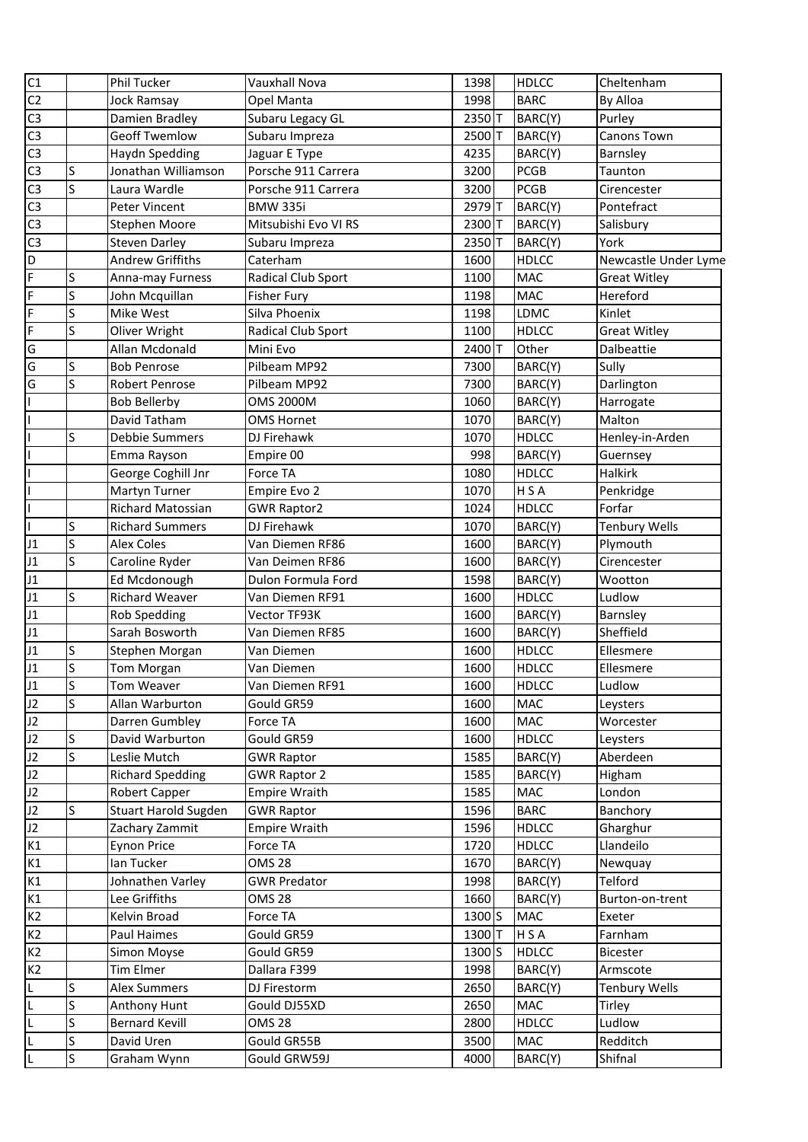| C1             |                    | <b>Phil Tucker</b>                          | Vauxhall Nova                         | 1398         | <b>HDLCC</b>            | Cheltenham             |
|----------------|--------------------|---------------------------------------------|---------------------------------------|--------------|-------------------------|------------------------|
| C <sub>2</sub> |                    | <b>Jock Ramsay</b>                          | Opel Manta                            | 1998         | <b>BARC</b>             | By Alloa               |
| C <sub>3</sub> |                    | Damien Bradley                              | Subaru Legacy GL                      | 2350T        | BARC(Y)                 | Purley                 |
| C <sub>3</sub> |                    | <b>Geoff Twemlow</b>                        | Subaru Impreza                        | 2500T        | BARC(Y)                 | Canons Town            |
| C <sub>3</sub> |                    | <b>Haydn Spedding</b>                       | Jaguar E Type                         | 4235         | BARC(Y)                 | Barnsley               |
| C <sub>3</sub> | S                  | Jonathan Williamson                         | Porsche 911 Carrera                   | 3200         | <b>PCGB</b>             | Taunton                |
| C <sub>3</sub> | S                  | Laura Wardle                                | Porsche 911 Carrera                   | 3200         | <b>PCGB</b>             | Cirencester            |
| C <sub>3</sub> |                    | Peter Vincent                               | <b>BMW 335i</b>                       | 2979T        | BARC(Y)                 | Pontefract             |
| C <sub>3</sub> |                    | Stephen Moore                               | Mitsubishi Evo VI RS                  | 2300T        | BARC(Y)                 | Salisbury              |
| C <sub>3</sub> |                    | <b>Steven Darley</b>                        | Subaru Impreza                        | 2350T        | BARC(Y)                 | York                   |
| D              |                    | <b>Andrew Griffiths</b>                     | Caterham                              | 1600         | <b>HDLCC</b>            | Newcastle Under Lyme   |
| F              | S                  | Anna-may Furness                            | Radical Club Sport                    | 1100         | MAC                     | <b>Great Witley</b>    |
| F              | S                  | John Mcquillan                              | <b>Fisher Fury</b>                    | 1198         | <b>MAC</b>              | Hereford               |
| F              | S                  | Mike West                                   | Silva Phoenix                         | 1198         | <b>LDMC</b>             | Kinlet                 |
| F              | S                  | Oliver Wright                               | Radical Club Sport                    | 1100         | <b>HDLCC</b>            | <b>Great Witley</b>    |
| G              |                    | Allan Mcdonald                              | Mini Evo                              | 2400T        | Other                   | Dalbeattie             |
| G              | S                  | <b>Bob Penrose</b>                          | Pilbeam MP92                          | 7300         | BARC(Y)                 | Sully                  |
| G              | S                  | <b>Robert Penrose</b>                       | Pilbeam MP92                          | 7300         | BARC(Y)                 | Darlington             |
| L              |                    | <b>Bob Bellerby</b>                         | <b>OMS 2000M</b>                      | 1060         | BARC(Y)                 | Harrogate              |
| L              |                    | David Tatham                                | <b>OMS Hornet</b>                     | 1070         | BARC(Y)                 | Malton                 |
|                | S                  | Debbie Summers                              | DJ Firehawk                           | 1070         | <b>HDLCC</b>            | Henley-in-Arden        |
|                |                    |                                             |                                       | 998          |                         |                        |
| L              |                    | Emma Rayson<br>George Coghill Jnr           | Empire 00<br>Force TA                 | 1080         | BARC(Y)<br><b>HDLCC</b> | Guernsey<br>Halkirk    |
| L              |                    | Martyn Turner                               | Empire Evo 2                          | 1070         | H S A                   | Penkridge              |
|                |                    | Richard Matossian                           |                                       |              | <b>HDLCC</b>            | Forfar                 |
| L<br>L         | S                  |                                             | <b>GWR Raptor2</b>                    | 1024         |                         |                        |
|                | S                  | <b>Richard Summers</b><br><b>Alex Coles</b> | DJ Firehawk                           | 1070         | BARC(Y)                 | <b>Tenbury Wells</b>   |
| J1<br>J1       | S                  |                                             | Van Diemen RF86                       | 1600         | BARC(Y)<br>BARC(Y)      | Plymouth               |
| J1             |                    | Caroline Ryder                              | Van Deimen RF86<br>Dulon Formula Ford | 1600<br>1598 | BARC(Y)                 | Cirencester<br>Wootton |
| J1             | S                  | Ed Mcdonough<br><b>Richard Weaver</b>       | Van Diemen RF91                       | 1600         | <b>HDLCC</b>            | Ludlow                 |
| J1             |                    | <b>Rob Spedding</b>                         | Vector TF93K                          | 1600         | BARC(Y)                 |                        |
| J1             |                    | Sarah Bosworth                              | Van Diemen RF85                       | 1600         | BARC(Y)                 | Barnsley<br>Sheffield  |
| J1             | S                  |                                             |                                       |              | <b>HDLCC</b>            |                        |
| J1             | S                  | Stephen Morgan                              | Van Diemen                            | 1600         |                         | Ellesmere              |
|                |                    | Tom Morgan                                  | Van Diemen                            | 1600         | <b>HDLCC</b>            | Ellesmere<br>Ludlow    |
| J1             | ls<br>$\mathsf{S}$ | <b>Tom Weaver</b>                           | Van Diemen RF91                       | 1600         | <b>HDLCC</b>            |                        |
| J2             |                    | Allan Warburton                             | Gould GR59                            | 1600         | <b>MAC</b>              | Leysters               |
| J2             |                    | Darren Gumbley                              | Force TA                              | 1600         | <b>MAC</b>              | Worcester              |
| J2             | S<br>Ś             | David Warburton                             | Gould GR59                            | 1600         | <b>HDLCC</b>            | Leysters               |
| J2             |                    | Leslie Mutch                                | <b>GWR Raptor</b>                     | 1585         | BARC(Y)                 | Aberdeen               |
| J2             |                    | <b>Richard Spedding</b>                     | <b>GWR Raptor 2</b>                   | 1585         | BARC(Y)                 | Higham                 |
| J2             |                    | Robert Capper                               | <b>Empire Wraith</b>                  | 1585         | <b>MAC</b>              | London                 |
| J2             | S                  | Stuart Harold Sugden                        | <b>GWR Raptor</b>                     | 1596         | <b>BARC</b>             | Banchory               |
| J2             |                    | Zachary Zammit                              | <b>Empire Wraith</b>                  | 1596         | <b>HDLCC</b>            | Gharghur               |
| K1             |                    | <b>Eynon Price</b>                          | Force TA                              | 1720         | <b>HDLCC</b>            | Llandeilo              |
| K1             |                    | lan Tucker                                  | <b>OMS 28</b>                         | 1670         | BARC(Y)                 | Newquay                |
| K1             |                    | Johnathen Varley                            | <b>GWR Predator</b>                   | 1998         | BARC(Y)                 | Telford                |
| K1             |                    | Lee Griffiths                               | <b>OMS 28</b>                         | 1660         | BARC(Y)                 | Burton-on-trent        |
| K <sub>2</sub> |                    | Kelvin Broad                                | Force TA                              | 1300S        | <b>MAC</b>              | Exeter                 |
| K2             |                    | Paul Haimes                                 | Gould GR59                            | 1300T        | <b>HSA</b>              | Farnham                |
| K <sub>2</sub> |                    | Simon Moyse                                 | Gould GR59                            | 1300S        | <b>HDLCC</b>            | Bicester               |
| K2             |                    | Tim Elmer                                   | Dallara F399                          | 1998         | BARC(Y)                 | Armscote               |
| L              | S                  | <b>Alex Summers</b>                         | DJ Firestorm                          | 2650         | BARC(Y)                 | <b>Tenbury Wells</b>   |
| L              | S                  | Anthony Hunt                                | Gould DJ55XD                          | 2650         | MAC                     | Tirley                 |
| Г              | S                  | <b>Bernard Kevill</b>                       | <b>OMS 28</b>                         | 2800         | <b>HDLCC</b>            | Ludlow                 |
| L              | S                  | David Uren                                  | Gould GR55B                           | 3500         | <b>MAC</b>              | Redditch               |
| L              | S                  | Graham Wynn                                 | Gould GRW59J                          | 4000         | BARC(Y)                 | Shifnal                |